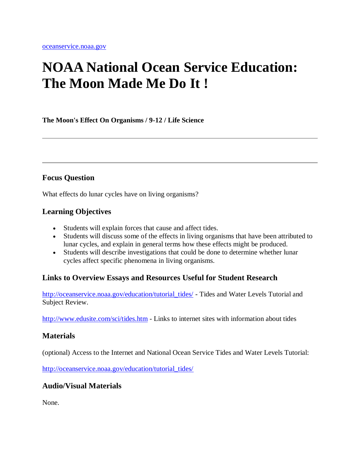# **NOAA National Ocean Service Education: The Moon Made Me Do It !**

**The Moon's Effect On Organisms / 9-12 / Life Science**

### **Focus Question**

What effects do lunar cycles have on living organisms?

### **Learning Objectives**

- Students will explain forces that cause and affect tides.
- Students will discuss some of the effects in living organisms that have been attributed to lunar cycles, and explain in general terms how these effects might be produced.
- Students will describe investigations that could be done to determine whether lunar cycles affect specific phenomena in living organisms.

### **Links to Overview Essays and Resources Useful for Student Research**

[http://oceanservice.noaa.gov/education/tutorial\\_tides/](http://oceanservice.noaa.gov/education/tutorial_tides/welcome.html) - Tides and Water Levels Tutorial and Subject Review.

<http://www.edusite.com/sci/tides.htm> - Links to internet sites with information about tides

### **Materials**

(optional) Access to the Internet and National Ocean Service Tides and Water Levels Tutorial:

[http://oceanservice.noaa.gov/education/tutorial\\_tides/](http://oceanservice.noaa.gov/education/tutorial_tides/welcome.html)

### **Audio/Visual Materials**

None.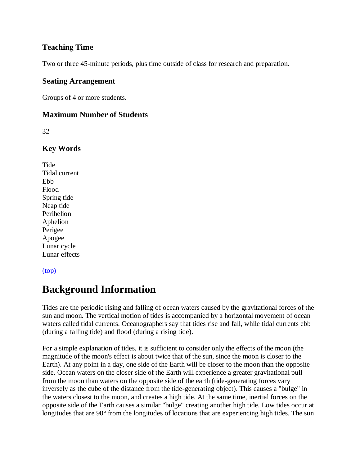### **Teaching Time**

Two or three 45-minute periods, plus time outside of class for research and preparation.

#### **Seating Arrangement**

Groups of 4 or more students.

### **Maximum Number of Students**

32

### **Key Words**

**Tide** Tidal current Ebb Flood Spring tide Neap tide Perihelion Aphelion Perigee Apogee Lunar cycle Lunar effects

#### [\(top\)](http://oceanservice.noaa.gov/education/lessons/#top)

### **Background Information**

Tides are the periodic rising and falling of ocean waters caused by the gravitational forces of the sun and moon. The vertical motion of tides is accompanied by a horizontal movement of ocean waters called tidal currents. Oceanographers say that tides rise and fall, while tidal currents ebb (during a falling tide) and flood (during a rising tide).

For a simple explanation of tides, it is sufficient to consider only the effects of the moon (the magnitude of the moon's effect is about twice that of the sun, since the moon is closer to the Earth). At any point in a day, one side of the Earth will be closer to the moon than the opposite side. Ocean waters on the closer side of the Earth will experience a greater gravitational pull from the moon than waters on the opposite side of the earth (tide-generating forces vary inversely as the cube of the distance from the tide-generating object). This causes a "bulge" in the waters closest to the moon, and creates a high tide. At the same time, inertial forces on the opposite side of the Earth causes a similar "bulge" creating another high tide. Low tides occur at longitudes that are 90° from the longitudes of locations that are experiencing high tides. The sun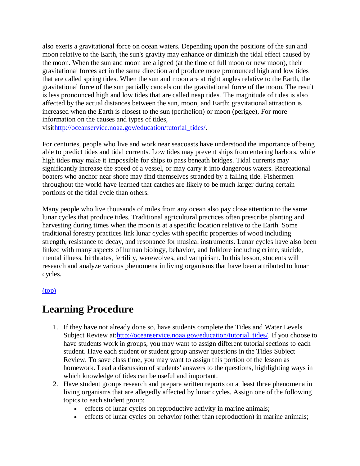also exerts a gravitational force on ocean waters. Depending upon the positions of the sun and moon relative to the Earth, the sun's gravity may enhance or diminish the tidal effect caused by the moon. When the sun and moon are aligned (at the time of full moon or new moon), their gravitational forces act in the same direction and produce more pronounced high and low tides that are called spring tides. When the sun and moon are at right angles relative to the Earth, the gravitational force of the sun partially cancels out the gravitational force of the moon. The result is less pronounced high and low tides that are called neap tides. The magnitude of tides is also affected by the actual distances between the sun, moon, and Earth: gravitational attraction is increased when the Earth is closest to the sun (perihelion) or moon (perigee), For more information on the causes and types of tides,

visi[thttp://oceanservice.noaa.gov/education/tutorial\\_tides/.](http://oceanservice.noaa.gov/education/tutorial_tides/welcome.html)

For centuries, people who live and work near seacoasts have understood the importance of being able to predict tides and tidal currents. Low tides may prevent ships from entering harbors, while high tides may make it impossible for ships to pass beneath bridges. Tidal currents may significantly increase the speed of a vessel, or may carry it into dangerous waters. Recreational boaters who anchor near shore may find themselves stranded by a falling tide. Fishermen throughout the world have learned that catches are likely to be much larger during certain portions of the tidal cycle than others.

Many people who live thousands of miles from any ocean also pay close attention to the same lunar cycles that produce tides. Traditional agricultural practices often prescribe planting and harvesting during times when the moon is at a specific location relative to the Earth. Some traditional forestry practices link lunar cycles with specific properties of wood including strength, resistance to decay, and resonance for musical instruments. Lunar cycles have also been linked with many aspects of human biology, behavior, and folklore including crime, suicide, mental illness, birthrates, fertility, werewolves, and vampirism. In this lesson, students will research and analyze various phenomena in living organisms that have been attributed to lunar cycles.

#### [\(top\)](http://oceanservice.noaa.gov/education/lessons/#top)

### **Learning Procedure**

- 1. If they have not already done so, have students complete the Tides and Water Levels Subject Review at: http://oceanservice.noaa.gov/education/tutorial\_tides/. If you choose to have students work in groups, you may want to assign different tutorial sections to each student. Have each student or student group answer questions in the Tides Subject Review. To save class time, you may want to assign this portion of the lesson as homework. Lead a discussion of students' answers to the questions, highlighting ways in which knowledge of tides can be useful and important.
- 2. Have student groups research and prepare written reports on at least three phenomena in living organisms that are allegedly affected by lunar cycles. Assign one of the following topics to each student group:
	- effects of lunar cycles on reproductive activity in marine animals;
	- effects of lunar cycles on behavior (other than reproduction) in marine animals;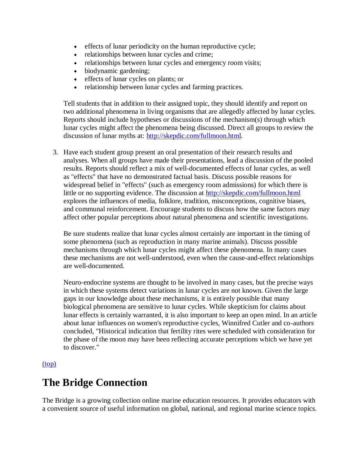- effects of lunar periodicity on the human reproductive cycle;
- relationships between lunar cycles and crime;
- relationships between lunar cycles and emergency room visits;
- biodynamic gardening;
- effects of lunar cycles on plants; or
- relationship between lunar cycles and farming practices.

Tell students that in addition to their assigned topic, they should identify and report on two additional phenomena in living organisms that are allegedly affected by lunar cycles. Reports should include hypotheses or discussions of the mechanism(s) through which lunar cycles might affect the phenomena being discussed. Direct all groups to review the discussion of lunar myths at: [http://skepdic.com/fullmoon.html.](http://skepdic.com/fullmoon.html)

3. Have each student group present an oral presentation of their research results and analyses. When all groups have made their presentations, lead a discussion of the pooled results. Reports should reflect a mix of well-documented effects of lunar cycles, as well as "effects" that have no demonstrated factual basis. Discuss possible reasons for widespread belief in "effects" (such as emergency room admissions) for which there is little or no supporting evidence. The discussion at<http://skepdic.com/fullmoon.html> explores the influences of media, folklore, tradition, misconceptions, cognitive biases, and communal reinforcement. Encourage students to discuss how the same factors may affect other popular perceptions about natural phenomena and scientific investigations.

Be sure students realize that lunar cycles almost certainly are important in the timing of some phenomena (such as reproduction in many marine animals). Discuss possible mechanisms through which lunar cycles might affect these phenomena. In many cases these mechanisms are not well-understood, even when the cause-and-effect relationships are well-documented.

Neuro-endocrine systems are thought to be involved in many cases, but the precise ways in which these systems detect variations in lunar cycles are not known. Given the large gaps in our knowledge about these mechanisms, it is entirely possible that many biological phenomena are sensitive to lunar cycles. While skepticism for claims about lunar effects is certainly warranted, it is also important to keep an open mind. In an article about lunar influences on women's reproductive cycles, Winnifred Cutler and co-authors concluded, "Historical indication that fertility rites were scheduled with consideration for the phase of the moon may have been reflecting accurate perceptions which we have yet to discover."

#### [\(top\)](http://oceanservice.noaa.gov/education/lessons/#top)

### **The Bridge Connection**

The Bridge is a growing collection online marine education resources. It provides educators with a convenient source of useful information on global, national, and regional marine science topics.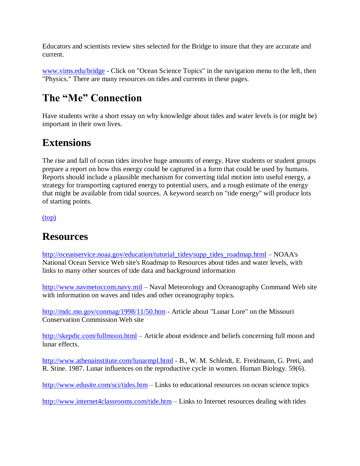Educators and scientists review sites selected for the Bridge to insure that they are accurate and current.

[www.vims.edu/bridge](http://www.vims.edu/bridge) - Click on "Ocean Science Topics" in the navigation menu to the left, then "Physics." There are many resources on tides and currents in these pages.

# **The "Me" Connection**

Have students write a short essay on why knowledge about tides and water levels is (or might be) important in their own lives.

# **Extensions**

The rise and fall of ocean tides involve huge amounts of energy. Have students or student groups prepare a report on how this energy could be captured in a form that could be used by humans. Reports should include a plausible mechanism for converting tidal motion into useful energy, a strategy for transporting captured energy to potential users, and a rough estimate of the energy that might be available from tidal sources. A keyword search on "tide energy" will produce lots of starting points.

[\(top\)](http://oceanservice.noaa.gov/education/lessons/#top)

### **Resources**

[http://oceanservice.noaa.gov/education/tutorial\\_tides/supp\\_tides\\_roadmap.html](http://oceanservice.noaa.gov/education/tutorial_tides/supp_tides_roadmap.html) – NOAA's National Ocean Service Web site's Roadmap to Resources about tides and water levels, with links to many other sources of tide data and background information

[http://www.navmetoccom.navy.mil](http://www.navmetoccom.navy.mil/) - Naval Meteorology and Oceanography Command Web site with information on waves and tides and other oceanography topics.

<http://mdc.mo.gov/conmag/1998/11/50.htm> - Article about "Lunar Lore" on the Missouri Conservation Commission Web site

<http://skepdic.com/fullmoon.html> – Article about evidence and beliefs concerning full moon and lunar effects.

<http://www.athenainstitute.com/lunarmpl.html> - B., W. M. Schleidt, E. Freidmann, G. Preti, and R. Stine. 1987. Lunar influences on the reproductive cycle in women. Human Biology. 59(6).

<http://www.edusite.com/sci/tides.htm> – Links to educational resources on ocean science topics

<http://www.internet4classrooms.com/tide.htm> – Links to Internet resources dealing with tides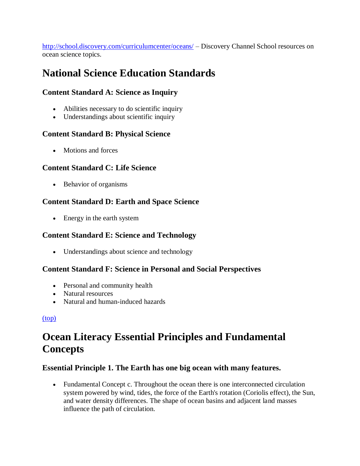<http://school.discovery.com/curriculumcenter/oceans/> – Discovery Channel School resources on ocean science topics.

# **National Science Education Standards**

### **Content Standard A: Science as Inquiry**

- Abilities necessary to do scientific inquiry
- Understandings about scientific inquiry

### **Content Standard B: Physical Science**

• Motions and forces

### **Content Standard C: Life Science**

• Behavior of organisms

### **Content Standard D: Earth and Space Science**

• Energy in the earth system

### **Content Standard E: Science and Technology**

• Understandings about science and technology

### **Content Standard F: Science in Personal and Social Perspectives**

- Personal and community health
- Natural resources
- Natural and human-induced hazards

### [\(top\)](http://oceanservice.noaa.gov/education/lessons/#top)

# **Ocean Literacy Essential Principles and Fundamental Concepts**

### **Essential Principle 1. The Earth has one big ocean with many features.**

 Fundamental Concept c. Throughout the ocean there is one interconnected circulation system powered by wind, tides, the force of the Earth's rotation (Coriolis effect), the Sun, and water density differences. The shape of ocean basins and adjacent land masses influence the path of circulation.